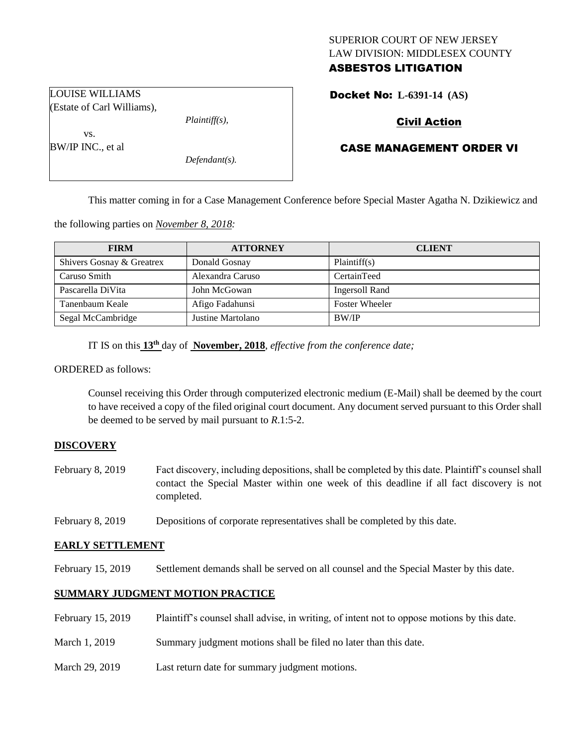# SUPERIOR COURT OF NEW JERSEY LAW DIVISION: MIDDLESEX COUNTY ASBESTOS LITIGATION

Docket No: **L-6391-14 (AS)** 

# Civil Action

# CASE MANAGEMENT ORDER VI

This matter coming in for a Case Management Conference before Special Master Agatha N. Dzikiewicz and

the following parties on *November 8, 2018:*

| <b>FIRM</b>               | <b>ATTORNEY</b>   | <b>CLIENT</b>         |
|---------------------------|-------------------|-----------------------|
| Shivers Gosnay & Greatrex | Donald Gosnay     | Plaintiff(s)          |
| Caruso Smith              | Alexandra Caruso  | CertainTeed           |
| Pascarella DiVita         | John McGowan      | Ingersoll Rand        |
| Tanenbaum Keale           | Afigo Fadahunsi   | <b>Foster Wheeler</b> |
| Segal McCambridge         | Justine Martolano | <b>BW/IP</b>          |

IT IS on this **13 th** day of **November, 2018**, *effective from the conference date;*

ORDERED as follows:

Counsel receiving this Order through computerized electronic medium (E-Mail) shall be deemed by the court to have received a copy of the filed original court document. Any document served pursuant to this Order shall be deemed to be served by mail pursuant to *R*.1:5-2.

### **DISCOVERY**

- February 8, 2019 Fact discovery, including depositions, shall be completed by this date. Plaintiff's counsel shall contact the Special Master within one week of this deadline if all fact discovery is not completed.
- February 8, 2019 Depositions of corporate representatives shall be completed by this date.

### **EARLY SETTLEMENT**

February 15, 2019 Settlement demands shall be served on all counsel and the Special Master by this date.

### **SUMMARY JUDGMENT MOTION PRACTICE**

- February 15, 2019 Plaintiff's counsel shall advise, in writing, of intent not to oppose motions by this date.
- March 1, 2019 Summary judgment motions shall be filed no later than this date.
- March 29, 2019 Last return date for summary judgment motions.

LOUISE WILLIAMS (Estate of Carl Williams),

*Plaintiff(s),*

vs. BW/IP INC., et al

*Defendant(s).*